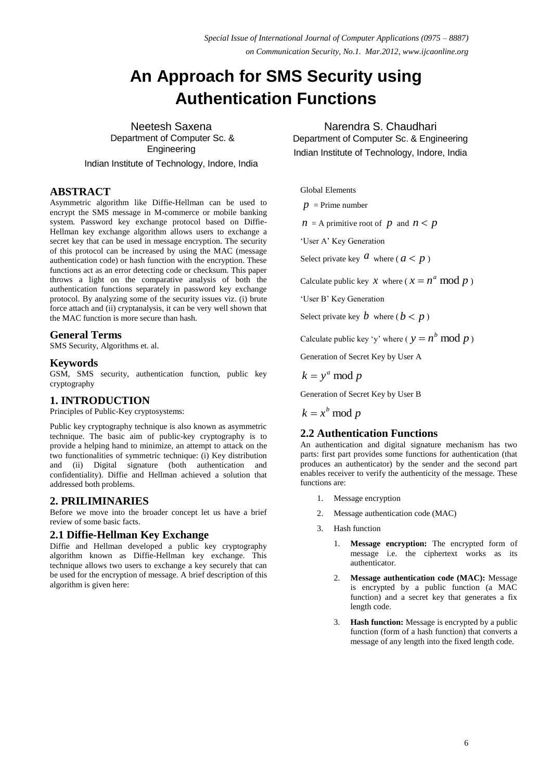# **An Approach for SMS Security using Authentication Functions**

Neetesh Saxena Department of Computer Sc. & Engineering

Indian Institute of Technology, Indore, India

# **ABSTRACT**

Asymmetric algorithm like Diffie-Hellman can be used to encrypt the SMS message in M-commerce or mobile banking system. Password key exchange protocol based on Diffie-Hellman key exchange algorithm allows users to exchange a secret key that can be used in message encryption. The security of this protocol can be increased by using the MAC (message authentication code) or hash function with the encryption. These functions act as an error detecting code or checksum. This paper throws a light on the comparative analysis of both the authentication functions separately in password key exchange protocol. By analyzing some of the security issues viz. (i) brute force attach and (ii) cryptanalysis, it can be very well shown that the MAC function is more secure than hash.

# **General Terms**

SMS Security, Algorithms et. al.

# **Keywords**

GSM, SMS security, authentication function, public key cryptography

# **1. INTRODUCTION**

Principles of Public-Key cryptosystems:

Public key cryptography technique is also known as asymmetric technique. The basic aim of public-key cryptography is to provide a helping hand to minimize, an attempt to attack on the two functionalities of symmetric technique: (i) Key distribution and (ii) Digital signature (both authentication and confidentiality). Diffie and Hellman achieved a solution that addressed both problems.

# **2. PRILIMINARIES**

Before we move into the broader concept let us have a brief review of some basic facts.

#### **2.1 Diffie-Hellman Key Exchange**

Diffie and Hellman developed a public key cryptography algorithm known as Diffie-Hellman key exchange. This technique allows two users to exchange a key securely that can be used for the encryption of message. A brief description of this algorithm is given here:

# Narendra S. Chaudhari

Department of Computer Sc. & Engineering Indian Institute of Technology, Indore, India

Global Elements

$$
p =
$$
Prime number

 $n = A$  primitive root of  $p$  and  $n < p$ 

'User A' Key Generation

Select private key  $\alpha$  where ( $a < p$ )

Calculate public key *x* where ( $x = n^a \mod p$ )

'User B' Key Generation

Select private key  $b$  where ( $b < p$ )

Calculate public key 'y' where ( $y = n^b \mod p$ )

Generation of Secret Key by User A

 $k = y^a \mod p$ 

Generation of Secret Key by User B

 $k = x^b \mod p$ 

#### **2.2 Authentication Functions**

An authentication and digital signature mechanism has two parts: first part provides some functions for authentication (that produces an authenticator) by the sender and the second part enables receiver to verify the authenticity of the message. These functions are:

- 1. Message encryption
- 2. Message authentication code (MAC)
- 3. Hash function
	- 1. **Message encryption:** The encrypted form of message i.e. the ciphertext works as its authenticator.
	- 2. **Message authentication code (MAC):** Message is encrypted by a public function (a MAC function) and a secret key that generates a fix length code.
	- 3. **Hash function:** Message is encrypted by a public function (form of a hash function) that converts a message of any length into the fixed length code.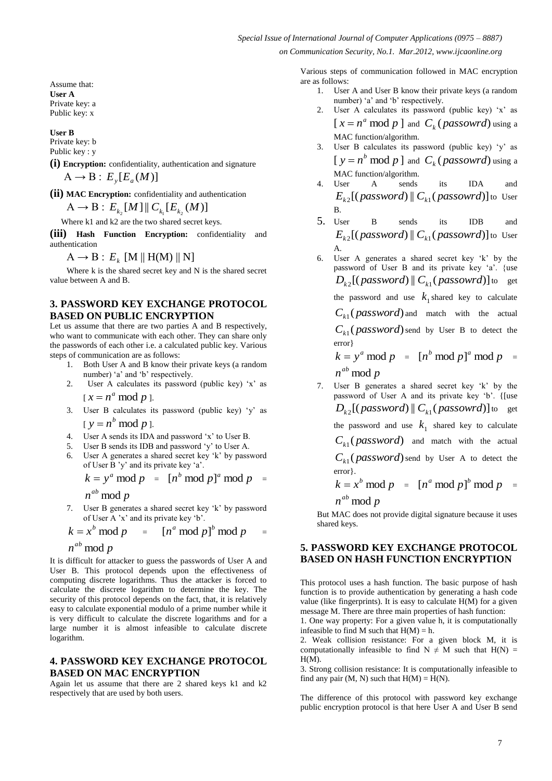Assume that: **User A** Private key: a Public key: x

**User B**

Private key: b Public key : y

**(i) Encryption:** confidentiality, authentication and signature  $A \rightarrow B : E_y[E_a(M)]$ 

**(ii) MAC Encryption:** confidentiality and authentication

 $A \rightarrow B : E_{k_2}[M] \, \mathcal{C}_{k_1}[E_{k_2}(M)]$ 

Where k1 and k2 are the two shared secret keys.

**(iii) Hash Function Encryption:** confidentiality and authentication

 $\mathrm{A}\rightarrow\mathrm{B}$  :  $\,E_{_k}\,$  [M || H(M) || N]

 Where k is the shared secret key and N is the shared secret value between A and B.

#### **3. PASSWORD KEY EXCHANGE PROTOCOL BASED ON PUBLIC ENCRYPTION**

Let us assume that there are two parties A and B respectively, who want to communicate with each other. They can share only the passwords of each other i.e. a calculated public key. Various steps of communication are as follows:

- 1. Both User A and B know their private keys (a random number) 'a' and 'b' respectively.
- 2. User A calculates its password (public key) 'x' as  $[x = n^a \mod p].$
- 3. User B calculates its password (public key) 'y' as  $[y = n^b \mod p].$
- 4. User A sends its IDA and password 'x' to User B.
- 5. User B sends its IDB and password 'y' to User A.
- 6. User A generates a shared secret key 'k' by password of User B 'y' and its private key 'a'.

$$
k = ya \bmod p = [nb \bmod p]a \bmod p =
$$

 $n^{ab}$  mod  $p$ 

7. User B generates a shared secret key 'k' by password of User A 'x' and its private key 'b'.

$$
k = xb \bmod p = [na \bmod p]b \bmod p =
$$

 $n^{ab}$  mod  $p$ 

It is difficult for attacker to guess the passwords of User A and User B. This protocol depends upon the effectiveness of computing discrete logarithms. Thus the attacker is forced to calculate the discrete logarithm to determine the key. The security of this protocol depends on the fact, that, it is relatively easy to calculate exponential modulo of a prime number while it is very difficult to calculate the discrete logarithms and for a large number it is almost infeasible to calculate discrete logarithm.

#### **4. PASSWORD KEY EXCHANGE PROTOCOL BASED ON MAC ENCRYPTION**

Again let us assume that there are 2 shared keys k1 and k2 respectively that are used by both users.

Various steps of communication followed in MAC encryption are as follows:

- 1. User A and User B know their private keys (a random number) 'a' and 'b' respectively.
- 2. User A calculates its password (public key) 'x' as  $[x = n^a \mod p]$  and  $C_k$  (*passowrd*) using a MAC function/algorithm.
- 3. User B calculates its password (public key) 'y' as  $[y = n^b \mod p]$  and  $C_k$  (*passowrd*) using a MAC function/algorithm.
- 4. User A sends its IDA and  $E_{k2}$ [(*password*) ||  $C_{k1}$ (*passowrd*)] to User B.
- 5. User B sends its IDB and  $E_{k2}$ [(*password*) ||  $C_{k1}$ (*passowrd*)] to User A.
- 6. User A generates a shared secret key 'k' by the password of User B and its private key 'a'. {use  $D_{k2}$ [(  $password$  ) ||  $C_{k1}$  (  $password$  )] to get

the password and use  $k_1$  shared key to calculate

 $C_{k1}$  (*password*) and match with the actual

 $C_{k1}$  (*password*) send by User B to detect the error}

$$
k = ya \bmod p = [nb \bmod p]a \bmod p =
$$
  
 
$$
nab \bmod p
$$

7. User B generates a shared secret key 'k' by the password of User A and its private key 'b'. {[use  $D_{k2}$ [(  $password$  ) ||  $C_{k1}$  (  $password$  )] to get the password and use  $k_1$  shared key to calculate

 $C_{k1}$  *( password*) and match with the actual

 $C_{k1}$  (*password*) send by User A to detect the error}.

$$
k = xb \bmod p = [na \bmod p]b \bmod p =
$$
  
 
$$
nab \bmod p
$$

But MAC does not provide digital signature because it uses

shared keys.

#### **5. PASSWORD KEY EXCHANGE PROTOCOL BASED ON HASH FUNCTION ENCRYPTION**

This protocol uses a hash function. The basic purpose of hash function is to provide authentication by generating a hash code value (like fingerprints). It is easy to calculate  $H(M)$  for a given message M. There are three main properties of hash function:

1. One way property: For a given value h, it is computationally infeasible to find M such that  $H(M) = h$ .

2. Weak collision resistance: For a given block M, it is computationally infeasible to find  $N \neq M$  such that  $H(N) =$  $H(M)$ .

3. Strong collision resistance: It is computationally infeasible to find any pair  $(M, N)$  such that  $H(M) = H(N)$ .

The difference of this protocol with password key exchange public encryption protocol is that here User A and User B send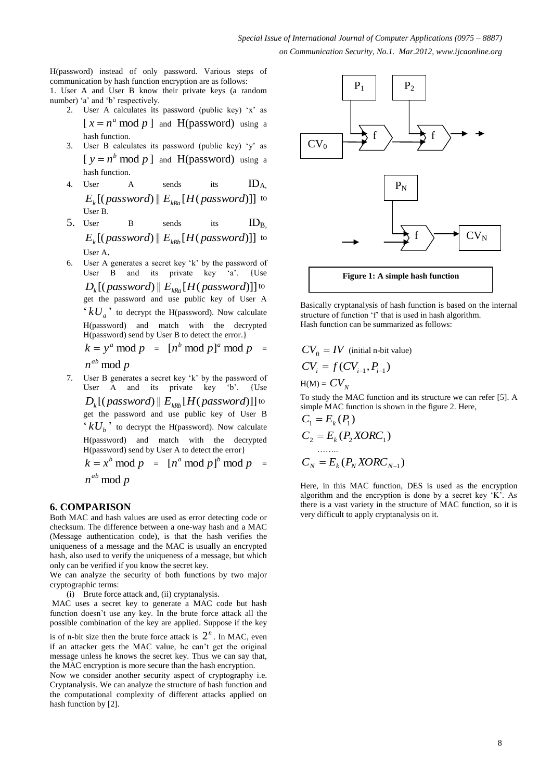H(password) instead of only password. Various steps of communication by hash function encryption are as follows: 1. User A and User B know their private keys (a random number) 'a' and 'b' respectively.

- 2. User A calculates its password (public key) 'x' as  $[x = n^a \mod p]$  and H(password) using a hash function.
- 3. User B calculates its password (public key) 'y' as  $[y = n^b \mod p]$  and H(password) using a hash function.
- 4. User  $A$  sends its  $ID_{A}$ ,  $E_{\rm k}$ [(*password*) ||  $E_{\rm kRa}$ [*H*(*password*)]] to User B.

5. User B sends its  $ID_R$  $E_k[($ *password* $)$  ||  $E_{kRb}[H(password)]$  to User A.

6. User A generates a secret key 'k' by the password of User B and its private key 'a'. {Use  $D_k[(\textit{password}) \mathbin\Vert E_{\textit{kRa}}[H(\textit{password})]]$  to get the password and use public key of User A  $kU_a$ <sup>,</sup> to decrypt the H(password). Now calculate H(password) and match with the decrypted H(password) send by User B to detect the error.}

$$
k = ya \bmod p = [nb \bmod p]a \bmod p =
$$

 $n^{ab}$  mod  $p$ 

7. User B generates a secret key 'k' by the password of User A and its private key 'b'. {Use  $D_k[(\textit{password}) \mathbin\Vert E_{\textit{kRb}}[H(\textit{password})]]$  to get the password and use public key of User B  $kU_b$ <sup>,</sup> to decrypt the H(password). Now calculate H(password) and match with the decrypted H(password) send by User A to detect the error}  $k = x^b \mod p = [n^a \mod p]^b \mod p =$ 

$$
n^{ab} \mod p
$$

#### **6. COMPARISON**

Both MAC and hash values are used as error detecting code or checksum. The difference between a one-way hash and a MAC (Message authentication code), is that the hash verifies the uniqueness of a message and the MAC is usually an encrypted hash, also used to verify the uniqueness of a message, but which only can be verified if you know the secret key.

We can analyze the security of both functions by two major cryptographic terms:

(i) Brute force attack and, (ii) cryptanalysis.

MAC uses a secret key to generate a MAC code but hash function doesn't use any key. In the brute force attack all the possible combination of the key are applied. Suppose if the key

is of n-bit size then the brute force attack is  $2^n$ . In MAC, even if an attacker gets the MAC value, he can't get the original message unless he knows the secret key. Thus we can say that, the MAC encryption is more secure than the hash encryption.

Now we consider another security aspect of cryptography i.e. Cryptanalysis. We can analyze the structure of hash function and the computational complexity of different attacks applied on hash function by [2].



Basically cryptanalysis of hash function is based on the internal structure of function 'f' that is used in hash algorithm. Hash function can be summarized as follows:

$$
CV_0 = IV
$$
 (initial n-bit value)  

$$
CV_i = f(CV_{i-1}, P_{i-1})
$$

 $H(M) = CV_N$ 

To study the MAC function and its structure we can refer [5]. A simple MAC function is shown in the figure 2. Here,

$$
C_1 = E_k(P_1)
$$
  
\n
$$
C_2 = E_k(P_2XORC_1)
$$
  
\n
$$
C_N = E_k(P_NXORC_{N-1})
$$

Here, in this MAC function, DES is used as the encryption algorithm and the encryption is done by a secret key 'K'. As there is a vast variety in the structure of MAC function, so it is very difficult to apply cryptanalysis on it.